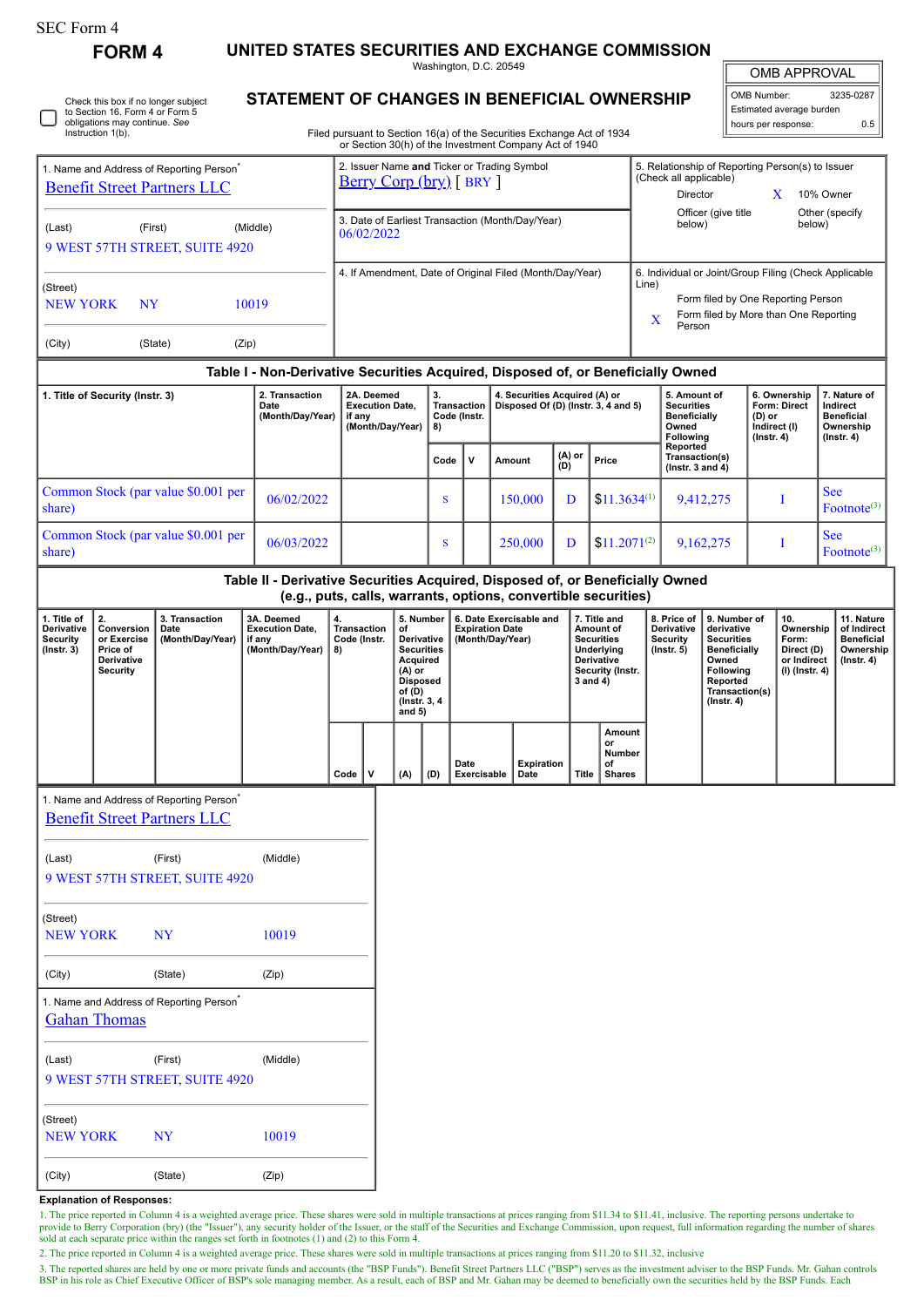**FORM 4 UNITED STATES SECURITIES AND EXCHANGE COMMISSION** Washington, D.C. 20549

OMB APPROVAL

 $\mathbb{I}$ 

|  | Check this box if no longer subject<br>to Section 16. Form 4 or Form 5<br>obligations may continue. See<br>Instruction 1(b). |
|--|------------------------------------------------------------------------------------------------------------------------------|
|--|------------------------------------------------------------------------------------------------------------------------------|

## **STATEMENT OF CHANGES IN BENEFICIAL OWNERSHIP**

Filed pursuant to Section 16(a) of the Securities Exchange Act of 1934 or Section 30(h) of the Investment Company Act of 1940

| OMB Number:              | 3235-0287 |  |  |  |  |  |
|--------------------------|-----------|--|--|--|--|--|
| Estimated average burden |           |  |  |  |  |  |
| hours per response:      | ሰ 5       |  |  |  |  |  |

|                                                                                                                                                               |                                                                              |                                                                               |                                                                                  |                                                                    |                                                                           |                                                |                                                  |                                                                                  |                     | or Section 30(h) of the Investment Company Act of 1940                |                                                                                       |                                                                                                                                                                       |                                                                                                                                                              |                                                                                                                                                                                                                    |           |                                                                          |                                                                          |                                                                                 |
|---------------------------------------------------------------------------------------------------------------------------------------------------------------|------------------------------------------------------------------------------|-------------------------------------------------------------------------------|----------------------------------------------------------------------------------|--------------------------------------------------------------------|---------------------------------------------------------------------------|------------------------------------------------|--------------------------------------------------|----------------------------------------------------------------------------------|---------------------|-----------------------------------------------------------------------|---------------------------------------------------------------------------------------|-----------------------------------------------------------------------------------------------------------------------------------------------------------------------|--------------------------------------------------------------------------------------------------------------------------------------------------------------|--------------------------------------------------------------------------------------------------------------------------------------------------------------------------------------------------------------------|-----------|--------------------------------------------------------------------------|--------------------------------------------------------------------------|---------------------------------------------------------------------------------|
| 1. Name and Address of Reporting Person <sup>*</sup><br><b>Benefit Street Partners LLC</b><br>(First)<br>(Middle)<br>(Last)<br>9 WEST 57TH STREET, SUITE 4920 |                                                                              |                                                                               |                                                                                  |                                                                    | 2. Issuer Name and Ticker or Trading Symbol<br>$Berry Corp (bry) [ BRY ]$ |                                                |                                                  |                                                                                  |                     |                                                                       |                                                                                       | 5. Relationship of Reporting Person(s) to Issuer<br>(Check all applicable)<br>Director<br>X<br>10% Owner<br>Officer (give title<br>Other (specify<br>below)<br>below) |                                                                                                                                                              |                                                                                                                                                                                                                    |           |                                                                          |                                                                          |                                                                                 |
|                                                                                                                                                               |                                                                              |                                                                               |                                                                                  |                                                                    | 3. Date of Earliest Transaction (Month/Day/Year)<br>06/02/2022            |                                                |                                                  |                                                                                  |                     |                                                                       |                                                                                       |                                                                                                                                                                       |                                                                                                                                                              |                                                                                                                                                                                                                    |           |                                                                          |                                                                          |                                                                                 |
| (Street)<br><b>NEW YORK</b><br><b>NY</b><br>10019                                                                                                             |                                                                              |                                                                               |                                                                                  |                                                                    | 4. If Amendment, Date of Original Filed (Month/Day/Year)                  |                                                |                                                  |                                                                                  |                     |                                                                       |                                                                                       |                                                                                                                                                                       | 6. Individual or Joint/Group Filing (Check Applicable<br>Line)<br>Form filed by One Reporting Person<br>Form filed by More than One Reporting<br>$\mathbf X$ |                                                                                                                                                                                                                    |           |                                                                          |                                                                          |                                                                                 |
| (Zip)<br>(City)<br>(State)                                                                                                                                    |                                                                              |                                                                               |                                                                                  |                                                                    |                                                                           |                                                |                                                  |                                                                                  |                     |                                                                       |                                                                                       |                                                                                                                                                                       |                                                                                                                                                              | Person                                                                                                                                                                                                             |           |                                                                          |                                                                          |                                                                                 |
|                                                                                                                                                               |                                                                              |                                                                               | Table I - Non-Derivative Securities Acquired, Disposed of, or Beneficially Owned |                                                                    |                                                                           |                                                |                                                  |                                                                                  |                     |                                                                       |                                                                                       |                                                                                                                                                                       |                                                                                                                                                              |                                                                                                                                                                                                                    |           |                                                                          |                                                                          |                                                                                 |
| 2. Transaction<br>1. Title of Security (Instr. 3)<br>Date<br>(Month/Day/Year)                                                                                 |                                                                              |                                                                               |                                                                                  | 2A. Deemed<br><b>Execution Date,</b><br>if any<br>(Month/Day/Year) |                                                                           | 3.<br><b>Transaction</b><br>Code (Instr.<br>8) |                                                  | 4. Securities Acquired (A) or<br>Disposed Of (D) (Instr. 3, 4 and 5)             |                     |                                                                       | 5. Amount of<br><b>Securities</b><br><b>Beneficially</b><br>Owned<br><b>Following</b> |                                                                                                                                                                       |                                                                                                                                                              | 6. Ownership<br><b>Form: Direct</b><br>(D) or<br>Indirect (I)<br>$($ Instr. 4 $)$                                                                                                                                  |           | 7. Nature of<br>Indirect<br><b>Beneficial</b><br>Ownership<br>(Instr. 4) |                                                                          |                                                                                 |
|                                                                                                                                                               |                                                                              |                                                                               |                                                                                  |                                                                    |                                                                           |                                                |                                                  | Code                                                                             | V                   | Amount                                                                | (A) or<br>(D)                                                                         | Price                                                                                                                                                                 |                                                                                                                                                              | Reported<br>Transaction(s)<br>( $lnstr. 3 and 4$ )                                                                                                                                                                 |           |                                                                          |                                                                          |                                                                                 |
| share)                                                                                                                                                        |                                                                              | Common Stock (par value \$0.001 per                                           | 06/02/2022                                                                       |                                                                    |                                                                           |                                                |                                                  | S                                                                                |                     | 150,000                                                               | D                                                                                     | $$11.3634^{(1)}$                                                                                                                                                      |                                                                                                                                                              |                                                                                                                                                                                                                    | 9,412,275 |                                                                          | I                                                                        | <b>See</b><br>Footnote <sup>(3)</sup>                                           |
| share)                                                                                                                                                        |                                                                              | Common Stock (par value \$0.001 per                                           | 06/03/2022                                                                       |                                                                    |                                                                           |                                                |                                                  | S                                                                                |                     | 250,000                                                               | D                                                                                     | $$11.2071^{(2)}$                                                                                                                                                      |                                                                                                                                                              |                                                                                                                                                                                                                    | 9,162,275 |                                                                          | I                                                                        | <b>See</b><br>Footnote <sup>(3)</sup>                                           |
|                                                                                                                                                               |                                                                              |                                                                               | Table II - Derivative Securities Acquired, Disposed of, or Beneficially Owned    |                                                                    |                                                                           |                                                |                                                  |                                                                                  |                     | (e.g., puts, calls, warrants, options, convertible securities)        |                                                                                       |                                                                                                                                                                       |                                                                                                                                                              |                                                                                                                                                                                                                    |           |                                                                          |                                                                          |                                                                                 |
| 1. Title of<br>Derivative<br><b>Security</b><br>(Instr. 3)                                                                                                    | 2.<br>Conversion<br>or Exercise<br>Price of<br>Derivative<br><b>Security</b> | 3. Transaction<br>Date<br>(Month/Day/Year)                                    | 3A. Deemed<br><b>Execution Date,</b><br>if any<br>(Month/Day/Year)               | 4.<br>8)                                                           | Transaction<br>Code (Instr.                                               |                                                | of<br>Acquired<br>$(A)$ or<br>of (D)<br>and $5)$ | 5. Number<br>Derivative<br><b>Securities</b><br><b>Disposed</b><br>(Instr. 3, 4) |                     | 6. Date Exercisable and<br><b>Expiration Date</b><br>(Month/Day/Year) |                                                                                       | 7. Title and<br>Amount of<br><b>Securities</b><br>Underlying<br>Derivative<br>Security (Instr.<br>3 and 4)                                                            |                                                                                                                                                              | 8. Price of<br>9. Number of<br>Derivative<br>derivative<br><b>Security</b><br><b>Securities</b><br>$($ Instr. 5 $)$<br><b>Beneficially</b><br>Owned<br>Following<br>Reported<br>Transaction(s)<br>$($ Instr. 4 $)$ |           |                                                                          | 10.<br>Ownership<br>Form:<br>Direct (D)<br>or Indirect<br>(I) (Instr. 4) | 11. Nature<br>of Indirect<br><b>Beneficial</b><br>Ownership<br>$($ lnstr. 4 $)$ |
|                                                                                                                                                               |                                                                              |                                                                               |                                                                                  |                                                                    | Code                                                                      | v                                              | (A)                                              | (D)                                                                              | Date<br>Exercisable | Expiration<br>Date                                                    | <b>Title</b>                                                                          | Amount<br>or<br><b>Number</b><br>of<br><b>Shares</b>                                                                                                                  |                                                                                                                                                              |                                                                                                                                                                                                                    |           |                                                                          |                                                                          |                                                                                 |
|                                                                                                                                                               |                                                                              | 1. Name and Address of Reporting Person<br><b>Benefit Street Partners LLC</b> |                                                                                  |                                                                    |                                                                           |                                                |                                                  |                                                                                  |                     |                                                                       |                                                                                       |                                                                                                                                                                       |                                                                                                                                                              |                                                                                                                                                                                                                    |           |                                                                          |                                                                          |                                                                                 |
| (Last)                                                                                                                                                        |                                                                              | (First)<br>9 WEST 57TH STREET, SUITE 4920                                     | (Middle)                                                                         |                                                                    |                                                                           |                                                |                                                  |                                                                                  |                     |                                                                       |                                                                                       |                                                                                                                                                                       |                                                                                                                                                              |                                                                                                                                                                                                                    |           |                                                                          |                                                                          |                                                                                 |
| (Street)<br><b>NEW YORK</b>                                                                                                                                   |                                                                              | <b>NY</b>                                                                     | 10019                                                                            |                                                                    |                                                                           |                                                |                                                  |                                                                                  |                     |                                                                       |                                                                                       |                                                                                                                                                                       |                                                                                                                                                              |                                                                                                                                                                                                                    |           |                                                                          |                                                                          |                                                                                 |
| (City)                                                                                                                                                        |                                                                              | (State)                                                                       | (Zip)                                                                            |                                                                    |                                                                           |                                                |                                                  |                                                                                  |                     |                                                                       |                                                                                       |                                                                                                                                                                       |                                                                                                                                                              |                                                                                                                                                                                                                    |           |                                                                          |                                                                          |                                                                                 |
|                                                                                                                                                               | <b>Gahan Thomas</b>                                                          | 1. Name and Address of Reporting Person <sup>®</sup>                          |                                                                                  |                                                                    |                                                                           |                                                |                                                  |                                                                                  |                     |                                                                       |                                                                                       |                                                                                                                                                                       |                                                                                                                                                              |                                                                                                                                                                                                                    |           |                                                                          |                                                                          |                                                                                 |
| (Last)                                                                                                                                                        |                                                                              | (First)<br>9 WEST 57TH STREET, SUITE 4920                                     | (Middle)                                                                         |                                                                    |                                                                           |                                                |                                                  |                                                                                  |                     |                                                                       |                                                                                       |                                                                                                                                                                       |                                                                                                                                                              |                                                                                                                                                                                                                    |           |                                                                          |                                                                          |                                                                                 |
| (Street)<br><b>NEW YORK</b>                                                                                                                                   |                                                                              | NY                                                                            | 10019                                                                            |                                                                    |                                                                           |                                                |                                                  |                                                                                  |                     |                                                                       |                                                                                       |                                                                                                                                                                       |                                                                                                                                                              |                                                                                                                                                                                                                    |           |                                                                          |                                                                          |                                                                                 |
| (City)                                                                                                                                                        |                                                                              | (State)                                                                       | (Zip)                                                                            |                                                                    |                                                                           |                                                |                                                  |                                                                                  |                     |                                                                       |                                                                                       |                                                                                                                                                                       |                                                                                                                                                              |                                                                                                                                                                                                                    |           |                                                                          |                                                                          |                                                                                 |

## **Explanation of Responses:**

1. The price reported in Column 4 is a weighted average price. These shares were sold in multiple transactions at prices ranging from \$11.34 to \$11.41, inclusive. The reporting persons undertake to provide to Berry Corporation (bry) (the "Issuer"), any security holder of the Issuer, or the staff of the Securities and Exchange Commission, upon request, full information regarding the number of shares sold at each separ

2. The price reported in Column 4 is a weighted average price. These shares were sold in multiple transactions at prices ranging from \$11.20 to \$11.32, inclusive

3. The reported shares are held by one or more private funds and accounts (the "BSP Funds"). Benefit Street Partners LLC ("BSP") serves as the investment adviser to the BSP Funds. Mr. Gahan controls<br>BSP in his role as Chie